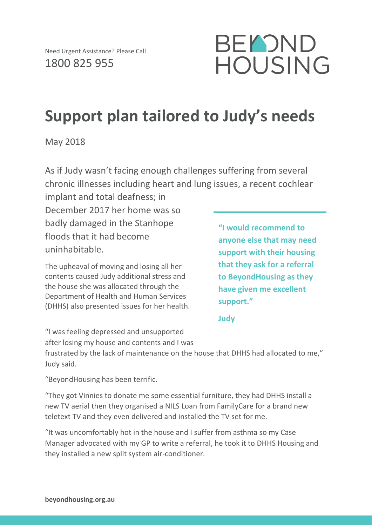

## **Support plan tailored to Judy's needs**

May 2018

As if Judy wasn't facing enough challenges suffering from several chronic illnesses including heart and lung issues, a recent cochlear

implant and total deafness; in December 2017 her home was so badly damaged in the Stanhope floods that it had become uninhabitable.

The upheaval of moving and losing all her contents caused Judy additional stress and the house she was allocated through the Department of Health and Human Services (DHHS) also presented issues for her health. **"I would recommend to anyone else that may need support with their housing that they ask for a referral to BeyondHousing as they have given me excellent support."**

**Judy**

"I was feeling depressed and unsupported after losing my house and contents and I was

frustrated by the lack of maintenance on the house that DHHS had allocated to me," Judy said.

"BeyondHousing has been terrific.

"They got Vinnies to donate me some essential furniture, they had DHHS install a new TV aerial then they organised a NILS Loan from FamilyCare for a brand new teletext TV and they even delivered and installed the TV set for me.

"It was uncomfortably hot in the house and I suffer from asthma so my Case Manager advocated with my GP to write a referral, he took it to DHHS Housing and they installed a new split system air-conditioner.